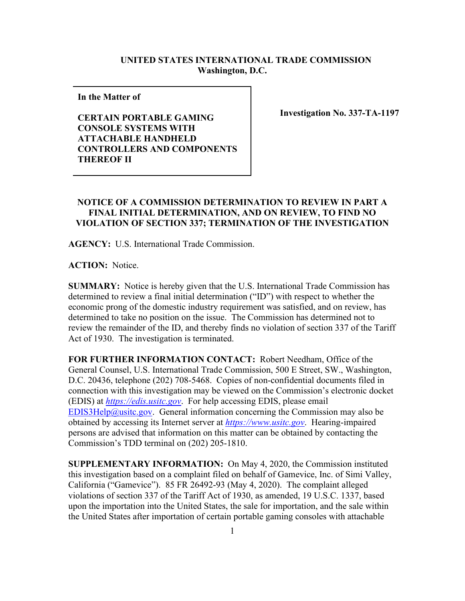## **UNITED STATES INTERNATIONAL TRADE COMMISSION Washington, D.C.**

**In the Matter of** 

**CERTAIN PORTABLE GAMING CONSOLE SYSTEMS WITH ATTACHABLE HANDHELD CONTROLLERS AND COMPONENTS THEREOF II**

**Investigation No. 337-TA-1197**

## **NOTICE OF A COMMISSION DETERMINATION TO REVIEW IN PART A FINAL INITIAL DETERMINATION, AND ON REVIEW, TO FIND NO VIOLATION OF SECTION 337; TERMINATION OF THE INVESTIGATION**

**AGENCY:** U.S. International Trade Commission.

**ACTION:** Notice.

**SUMMARY:** Notice is hereby given that the U.S. International Trade Commission has determined to review a final initial determination ("ID") with respect to whether the economic prong of the domestic industry requirement was satisfied, and on review, has determined to take no position on the issue. The Commission has determined not to review the remainder of the ID, and thereby finds no violation of section 337 of the Tariff Act of 1930. The investigation is terminated.

**FOR FURTHER INFORMATION CONTACT:** Robert Needham, Office of the General Counsel, U.S. International Trade Commission, 500 E Street, SW., Washington, D.C. 20436, telephone (202) 708-5468. Copies of non-confidential documents filed in connection with this investigation may be viewed on the Commission's electronic docket (EDIS) at *[https://edis.usitc.gov](https://edis.usitc.gov/)*. For help accessing EDIS, please email [EDIS3Help@usitc.gov.](mailto:EDIS3Help@usitc.gov) General information concerning the Commission may also be obtained by accessing its Internet server at *[https://www.usitc.gov](https://www.usitc.gov/)*. Hearing-impaired persons are advised that information on this matter can be obtained by contacting the Commission's TDD terminal on (202) 205-1810.

**SUPPLEMENTARY INFORMATION:** On May 4, 2020, the Commission instituted this investigation based on a complaint filed on behalf of Gamevice, Inc. of Simi Valley, California ("Gamevice"). 85 FR 26492-93 (May 4, 2020). The complaint alleged violations of section 337 of the Tariff Act of 1930, as amended, 19 U.S.C. 1337, based upon the importation into the United States, the sale for importation, and the sale within the United States after importation of certain portable gaming consoles with attachable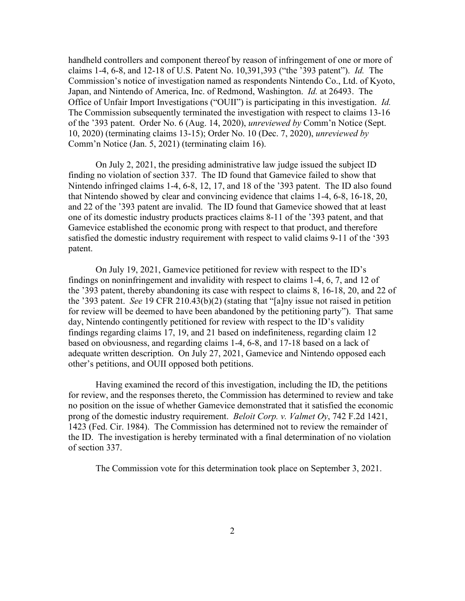handheld controllers and component thereof by reason of infringement of one or more of claims 1-4, 6-8, and 12-18 of U.S. Patent No. 10,391,393 ("the '393 patent"). *Id.* The Commission's notice of investigation named as respondents Nintendo Co., Ltd. of Kyoto, Japan, and Nintendo of America, Inc. of Redmond, Washington. *Id.* at 26493. The Office of Unfair Import Investigations ("OUII") is participating in this investigation. *Id.* The Commission subsequently terminated the investigation with respect to claims 13-16 of the '393 patent. Order No. 6 (Aug. 14, 2020), *unreviewed by* Comm'n Notice (Sept. 10, 2020) (terminating claims 13-15); Order No. 10 (Dec. 7, 2020), *unreviewed by* Comm'n Notice (Jan. 5, 2021) (terminating claim 16).

On July 2, 2021, the presiding administrative law judge issued the subject ID finding no violation of section 337. The ID found that Gamevice failed to show that Nintendo infringed claims 1-4, 6-8, 12, 17, and 18 of the '393 patent. The ID also found that Nintendo showed by clear and convincing evidence that claims 1-4, 6-8, 16-18, 20, and 22 of the '393 patent are invalid. The ID found that Gamevice showed that at least one of its domestic industry products practices claims 8-11 of the '393 patent, and that Gamevice established the economic prong with respect to that product, and therefore satisfied the domestic industry requirement with respect to valid claims 9-11 of the '393 patent.

On July 19, 2021, Gamevice petitioned for review with respect to the ID's findings on noninfringement and invalidity with respect to claims 1-4, 6, 7, and 12 of the '393 patent, thereby abandoning its case with respect to claims 8, 16-18, 20, and 22 of the '393 patent. *See* 19 CFR 210.43(b)(2) (stating that "[a]ny issue not raised in petition for review will be deemed to have been abandoned by the petitioning party"). That same day, Nintendo contingently petitioned for review with respect to the ID's validity findings regarding claims 17, 19, and 21 based on indefiniteness, regarding claim 12 based on obviousness, and regarding claims 1-4, 6-8, and 17-18 based on a lack of adequate written description. On July 27, 2021, Gamevice and Nintendo opposed each other's petitions, and OUII opposed both petitions.

Having examined the record of this investigation, including the ID, the petitions for review, and the responses thereto, the Commission has determined to review and take no position on the issue of whether Gamevice demonstrated that it satisfied the economic prong of the domestic industry requirement. *Beloit Corp. v. Valmet Oy*, 742 F.2d 1421, 1423 (Fed. Cir. 1984). The Commission has determined not to review the remainder of the ID. The investigation is hereby terminated with a final determination of no violation of section 337.

The Commission vote for this determination took place on September 3, 2021.